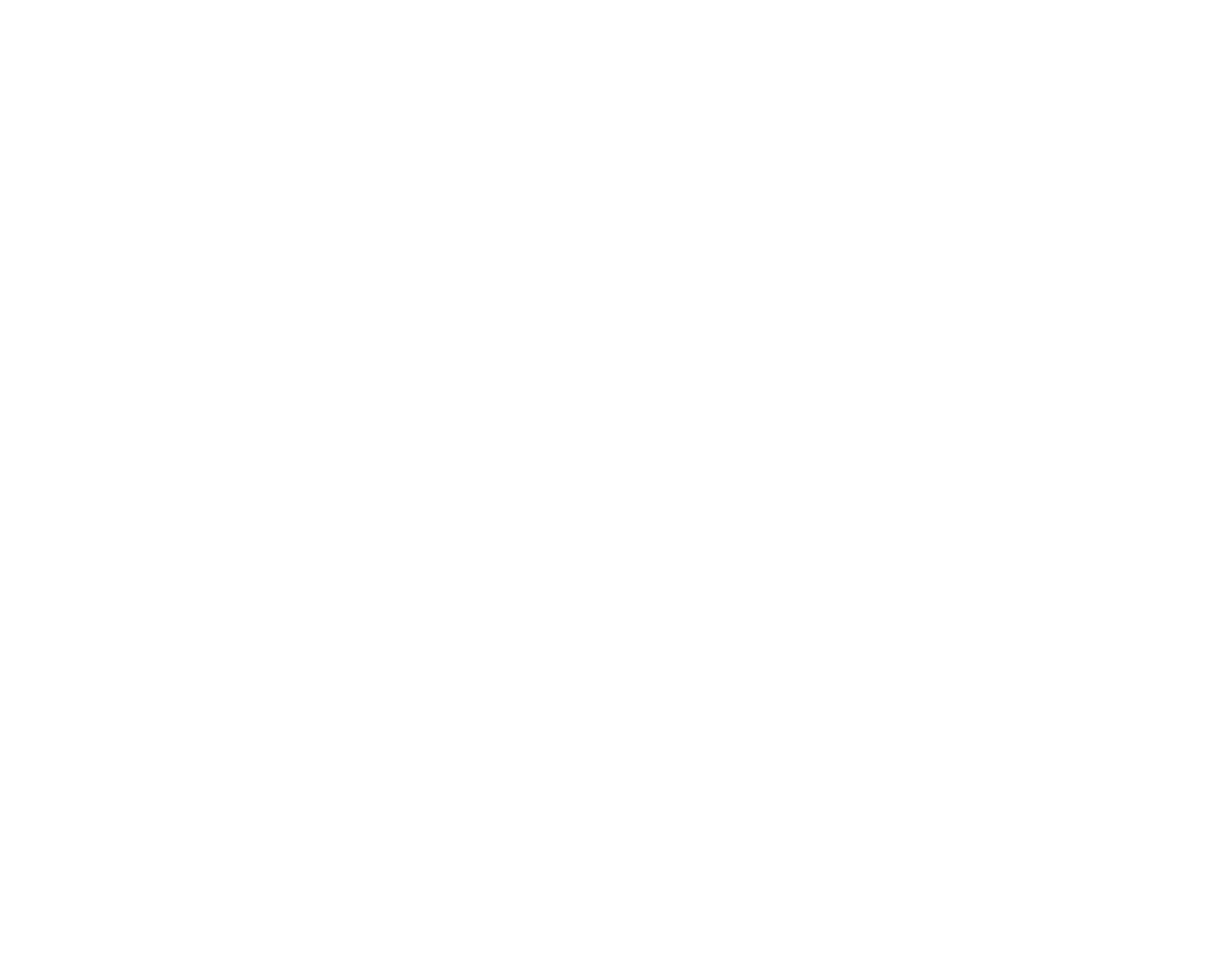## **CITY OF RANCHO PALOS VERDES SUMMARY OF EXPENDITURES - ALL FUNDS April 30, 2020**

- -

|             |                                     |                       | FY 2019-20         |                    |                                        | FY 2018-19  |                                        |                                                   |           |
|-------------|-------------------------------------|-----------------------|--------------------|--------------------|----------------------------------------|-------------|----------------------------------------|---------------------------------------------------|-----------|
| <b>FUND</b> | <b>FUND DESCRIPTION</b>             | <b>REVISED BUDGET</b> | <b>YTD ACTUALS</b> | <b>YTD ENCUMB.</b> | <b>YTD ACTUALS +</b><br><b>ENCUMB.</b> | <b>USED</b> | <b>YTD ACTUALS +</b><br><b>ENCUMB.</b> | YEAR OVER YEAR CHANGE<br><b>ACTUALS + ENCUMB.</b> |           |
|             | 101 GENERAL FUND                    |                       |                    |                    |                                        |             |                                        |                                                   |           |
|             | <b>CITY COUNCIL</b>                 | \$<br>123,200         | \$<br>74,551 \$    |                    | $-$ \$<br>74,551                       | 60.5%       | \$<br>78,979                           | (54, 428)                                         | $-5.6%$   |
|             | <b>LEGAL SERVICES</b>               | 925,000               | 817,410            | $\mathbf 0$        | 817,410                                | 88.4%       | 776,811                                | 40,599                                            | 5.2%      |
|             | <b>CITY CLERK</b>                   | 711,100               | 652,242            | 2,913              | 655,154                                | 92.1%       | 352,176                                | 302,979                                           | 86.0%     |
|             | <b>CITY MANAGER</b>                 | 778,000               | 527,854            | 491                | 528,345                                | 67.9%       | 648,270                                | (119, 925)                                        | $-18.5%$  |
|             | <b>CITY ADMINISTRATION</b>          | 493,300               | 193,414            | 55,388             | 248,802                                | 50.4%       | 314,426                                | (65, 625)                                         | $-20.9%$  |
|             | <b>HUMAN RESOURCES</b>              | 447,426               | 286,355            | 112                | 286,467                                | 64.0%       | 269,435                                | 17,032                                            | 6.3%      |
|             | <b>INFORMATION TECHNOLOGIES</b>     | 1,197,689             | 873,162            | 104,687            | 977,849                                | 81.6%       | 1,003,818                              | (25,969)                                          | $-2.6%$   |
|             | <b>FINANCE</b>                      | 1,657,362             | 1,326,181          | 20,902             | 1,347,083                              | 81.3%       | 1,200,464                              | 146,619                                           | 12.2%     |
|             | <b>PUBLIC WORKS</b>                 | 6,552,992             | 3,901,936          | 1,625,272          | 5,527,209                              | 84.3%       | 4,780,497                              | 746,711                                           | 15.6%     |
|             | <b>COMMUNITY DEVELOPMENT</b>        | 3,775,654             | 2,255,848          | 190,244            | 2,446,092                              | 64.8%       | 2,805,895                              | (359, 804)                                        | $-12.8%$  |
|             | <b>RECREATIONAL &amp; PARKS</b>     | 3,084,734             | 2,062,671          | 55,745             | 2,118,417                              | 68.7%       | 2,203,402                              | (84, 985)                                         | $-3.9%$   |
|             | <b>PUBLIC SAFETY</b>                | 7,404,700             | 4,968,636          | 1,554,387          | 6,523,023                              | 88.1%       | 7,233,356                              | (710, 334)                                        | $-9.8%$   |
|             | NON-DEPARTMENTAL                    | 1,495,961             | 955,393            | 75,797             | 1,031,190                              | 68.9%       | 884,769                                | 146,421                                           | 16.5%     |
|             | COVID-19                            | $\mathbf 0$           | 178,774            | $\mathbf 0$        | 178,774                                | 0.0%        | $\mathbf 0$                            | 178,774                                           | 0.0%      |
|             | <b>TRANSFERS OUT</b>                | 4,116,900             | 2,437,675          | $\mathbf{0}$       | 2,437,675                              | 59.2%       | 3,423,525                              | (985, 850)                                        | $-28.8%$  |
|             | <b>TOTAL GENERAL FUND</b>           | 32,764,018            | 21,512,103         | 3,685,937          | 25,198,040                             | 76.9%       | 25,975,823                             | (777, 783)                                        | $-3.0%$   |
|             |                                     |                       |                    |                    |                                        |             |                                        |                                                   |           |
|             | <b>200 SPECIAL REVENUE FUNDS</b>    |                       |                    |                    |                                        |             |                                        |                                                   |           |
|             | 202 STREET MAINTENANCE              | 3,301,966             | 640,396            | 2,389,001          | 3,029,398                              | 91.7%       | 902,845                                | 2,126,553                                         | 235.5%    |
|             | 203 1972 ACT LANDSCAPING & LIGHTING | $\mathbf 0$           | $\mathbf{0}$       | $\mathbf{0}$       | $\mathbf 0$                            | 0.0%        | $\mathbf 0$                            | $\mathbf{0}$                                      | 0.0%      |
|             | 209 EL PRADO LIGHTING DISTRICT      | 800                   | $\Omega$           | $\mathbf 0$        | $\mathbf 0$                            | 0.0%        | 500                                    | (500)                                             | $-100.0%$ |
|             | 211 1911 ACT STREET LIGHTING        | 1,011,941             | 838,994            | 66,092             | 905,086                                | 89.4%       | 1,932,856                              | (1,027,769)                                       | $-53.2%$  |
|             | 212 BEAUTIFICATION                  | $\mathbf 0$           | 0                  | $\mathbf 0$        | 0                                      | 0.0%        | 560,267                                | (560, 267)                                        | $-100.0%$ |
|             | 213 WASTE REDUCTION                 | 304,100               | 162,533            | 57,229             | 219,763                                | 72.3%       | 211,806                                | 7,956                                             | 3.8%      |
|             | 214 AIR QUALITY MANAGEMENT          | 50,000                | 0                  | 0                  | $\mathbf 0$                            | 0.0%        | 50,000                                 | (50,000)                                          | $-100.0%$ |
|             | 215 PROPOSITION C                   | 1,111,401             | 334,846            | 361,385            | 696,231                                | 62.6%       | 675,780                                | 20,451                                            | 3.0%      |
|             | 216 PROPOSITION A                   | 1,971,367             | 40,775             | 1,095,226          | 1,136,001                              | 57.6%       | 728,242                                | 407,759                                           | 56.0%     |
|             | 217 PUBLIC SAFETY GRANTS            | 175,000               | 131,250            | $\mathbf 0$        | 131,250                                | 75.0%       | 97,500                                 | 33,750                                            | 34.6%     |
|             | 220 MEASURE R                       | 963,706               | 23,781             | 339,888            | 363,669                                | 37.7%       | 2,380,847                              | (2,017,177)                                       | $-84.7%$  |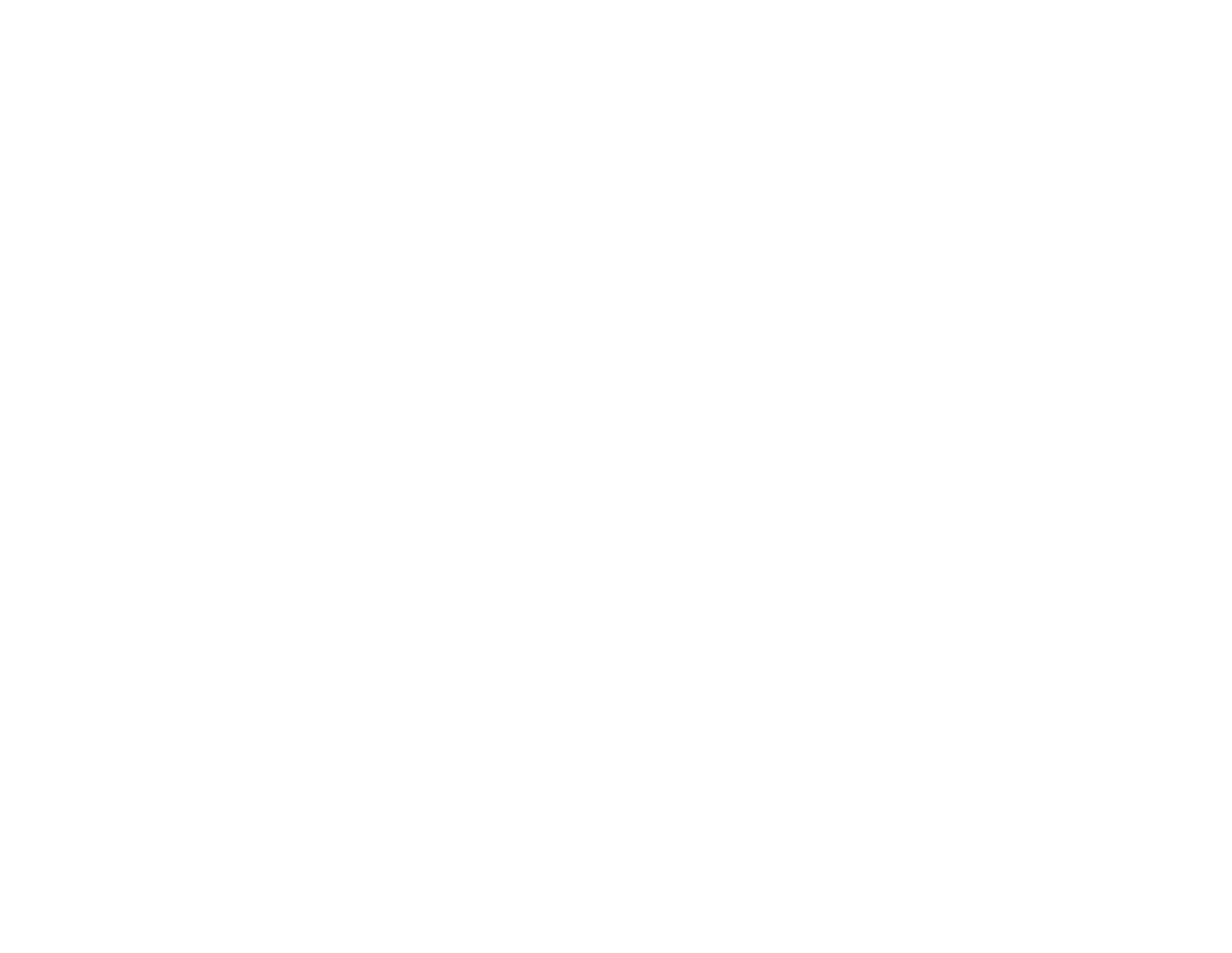## **CITY OF RANCHO PALOS VERDES SUMMARY OF EXPENDITURES - ALL FUNDS April 30, 2020**

- -

|             |                                              |                       | FY 2019-20         |                    |                                        | FY 2018-19  |                                        |                                                   |           |
|-------------|----------------------------------------------|-----------------------|--------------------|--------------------|----------------------------------------|-------------|----------------------------------------|---------------------------------------------------|-----------|
| <b>FUND</b> | <b>FUND DESCRIPTION</b>                      | <b>REVISED BUDGET</b> | <b>YTD ACTUALS</b> | <b>YTD ENCUMB.</b> | <b>YTD ACTUALS +</b><br><b>ENCUMB.</b> | <b>USED</b> | <b>YTD ACTUALS +</b><br><b>ENCUMB.</b> | YEAR OVER YEAR CHANGE<br><b>ACTUALS + ENCUMB.</b> |           |
|             | 221 MEASURE M                                | 536,000               | 373,249            | 161,751            | 535,000                                | 99.8%       | 519,035                                | 15,965                                            | 3.1%      |
|             | 222 HABITAT RESTORATION                      | 179,500               | 152,745            | 26,752             | 179,497                                | 100.0%      | 149,503                                | 29,994                                            | 20.1%     |
|             | 223 SUBREGION ONE MAINTENANCE                | 46,800                | 30,258             | 9,750              | 40,008                                 | 85.5%       | 35,882                                 | 4,126                                             | 11.5%     |
|             | 224 MEASURE A MAINTENANCE                    | 100,000               | 75,000             | $\mathbf 0$        | 75,000                                 | 75.0%       | 67,500                                 | 7,500                                             | 11.1%     |
|             | 225 ABALONE COVE SEWER DISTRICT              | 648,100               | 59,391             | 92,996             | 152,387                                | 23.5%       | 48,769                                 | 103,618                                           | 212.5%    |
| 227         | <b>GINSBERG CULTURAL ARTS BLDG.</b>          | 0                     | 1,045              | $\mathbf 0$        | 1,045                                  | 0.0%        | 86,344                                 | (85, 299)                                         | -98.8%    |
|             | 228 DONOR RESTRICTED CONTRIBUTIONS           | 47,331                | 12,942             | 25,915             | 38,857                                 | 82.1%       | 200,431                                | (161, 574)                                        | $-80.6%$  |
|             | <b>TOTAL SPECIAL REVENUE FUNDS</b>           | 10,448,012            | 2,877,205          | 4,625,987          | 7,503,191                              | 71.8%       | 8,648,105                              | (1, 144, 914)                                     | $-13.2%$  |
|             |                                              |                       |                    |                    |                                        |             |                                        |                                                   |           |
|             | <b>300 CAPITAL PROJECTS FUNDS</b>            |                       |                    |                    |                                        |             |                                        |                                                   |           |
|             | 310 COMMUNITY DEVELOPMENT BLOCK GRANT (CDBG) | 346,100               | 178,062            | 39,650             | 217,712                                | 62.9%       | 229,300                                | (11,588)                                          | $-5.1%$   |
| 330         | <b>INFRASTRUCTURE IMPROVEMENTS</b>           | 13,483,546            | 4,065,091          | 1,962,153          | 6,027,243                              | 44.7%       | 5,225,714                              | 801,530                                           | 15.3%     |
|             | 331 FEDERAL GRANTS                           | 0                     | $\mathbf 0$        | $\mathbf 0$        | 0                                      | 0.0%        | 237,000                                | (237,000)                                         | $-100.0%$ |
|             | 332 STATE GRANTS                             | 563,665               | 134,470            | 423,208            | 557,678                                | 98.9%       | 965,645                                | (407, 967)                                        | $-42.2%$  |
| 334         | <b>QUIMBY PARK DEVELOPMENT</b>               | 895,015               | 545,813            | 316,381            | 862,194                                | 96.3%       | 607,573                                | 254,621                                           | 41.9%     |
|             | 336 LOW-MODERATE INCOME HOUSING              | $\pmb{0}$             | $\mathbf 0$        | $\mathbf{0}$       | $\mathbf 0$                            | 0.0%        | $\mathbf 0$                            | $\mathbf{0}$                                      | 0.0%      |
| 337         | AFFORDABLE HOUSING PROJECTS                  | $\mathbf 0$           | $\Omega$           | $\mathbf 0$        | $\mathbf 0$                            | 0.0%        | $\mathbf{0}$                           | $\Omega$                                          | 0.0%      |
|             | 338 DEVELOPMENT IMPACT MITIGATION (EET)      | 310,000               | 210,761            | 93,922             | 304,683                                | 98.3%       | $\mathbf 0$                            | 304,683                                           | 0.0%      |
|             | 340 BICYCLE & PEDESTRIAN ACCESS              | 0                     | 0                  | $\mathbf 0$        | $\boldsymbol{0}$                       | 0.0%        | 0                                      | $\mathbf 0$                                       | 0.0%      |
|             | <b>TOTAL CAPITAL PROJECTS FUNDS</b>          | 15,598,327            | 5,134,197          | 2,835,313          | 7,969,510                              | 51.1%       | 7,265,232                              | 704,278                                           | 9.7%      |
|             |                                              |                       |                    |                    |                                        |             |                                        |                                                   |           |
| 500         | <b>ENTERPRISE FUNDS</b>                      |                       |                    |                    |                                        |             |                                        |                                                   |           |
| 501         | WATER QUALITY FLOOD PROTECTION               | 0                     | 327,211            | $\mathbf{0}$       | 327,211                                | 0.0%        | 327,211                                | 0                                                 | 0.0%      |
|             | <b>TOTAL ENTERPRISE FUNDS</b>                | $\mathbf{0}$          | 327,211            | $\mathbf 0$        | 327,211                                | 0.0%        | 327,211                                | $\mathbf{0}$                                      | 0.0%      |
|             |                                              |                       |                    |                    |                                        |             |                                        |                                                   |           |
| 600         | <b>INTERNAL SERVICE FUND</b>                 |                       |                    |                    |                                        |             |                                        |                                                   |           |
|             | 681 EQUIPMENT REPLACEMENT                    | 800,382               | 292,570            | 236,563            | 529,133                                | 66.1%       | 452,621                                | 76,512                                            | 16.9%     |
|             | 685 EMPLOYEE BENEFITS                        | $\mathbf{0}$          | $\mathbf{0}$       | $\mathbf 0$        | $\mathbf{0}$                           | 0.0%        | $\mathbf{0}$                           | $\mathbf{0}$                                      | 0.0%      |
|             | <b>TOTAL INTERNAL SERVICE FUNDS</b>          | 800,382               | 292,570            | 236,563            | 529,133                                | 66.1%       | 452,621                                | 76,512                                            | 16.9%     |